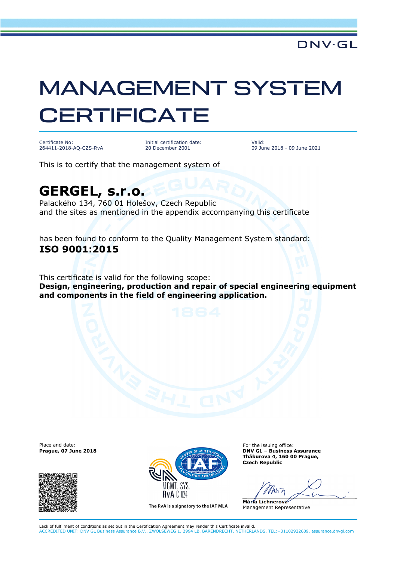## MANAGEMENT SYSTEM **CERTIFICATE**

Certificate No: 264411-2018-AQ-CZS-RvA Initial certification date: 20 December 2001

Valid: 09 June 2018 - 09 June 2021

This is to certify that the management system of

## **GERGEL, s.r.o.**

Palackého 134, 760 01 Holešov, Czech Republic and the sites as mentioned in the appendix accompanying this certificate

has been found to conform to the Quality Management System standard: **ISO 9001:2015** 

This certificate is valid for the following scope: **Design, engineering, production and repair of special engineering equipment and components in the field of engineering application.** 

Place and date:





The RvA is a signatory to the IAF MLA

For the issuing office: **Thákurova 4, 160 00 Prague, Czech Republic** 

**Mária Lichnerová**  Management Representative

Lack of fulfilment of conditions as set out in the Certification Agreement may render this Certificate invalid. ACCREDITED UNIT: DNV GL Business Assurance B.V., ZWOLSEWEG 1, 2994 LB, BARENDRECHT, NETHERLANDS. TEL:+31102922689. assurance.dnvgl.com